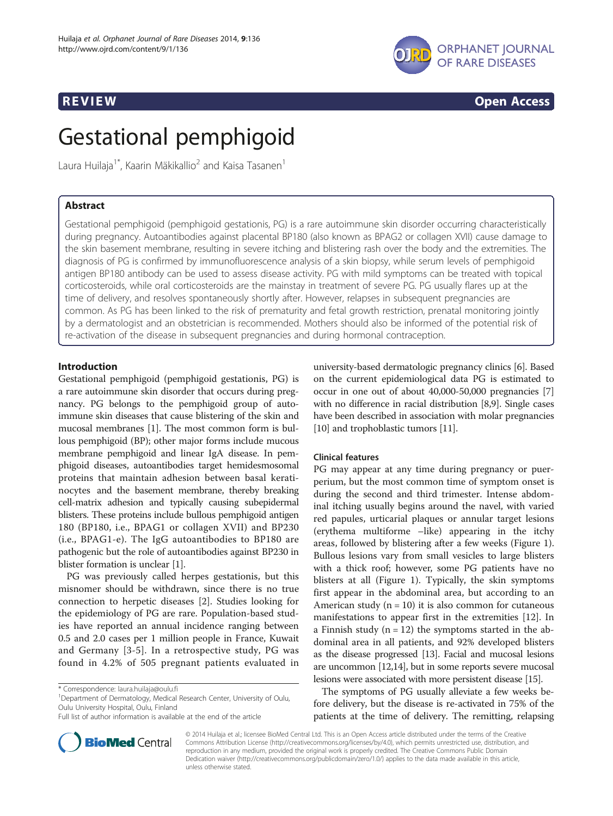

**REVIEW CONSTRUCTION CONSTRUCTION CONSTRUCTS** 

# Gestational pemphigoid

Laura Huilaja<sup>1\*</sup>, Kaarin Mäkikallio<sup>2</sup> and Kaisa Tasanen<sup>1</sup>

# Abstract

Gestational pemphigoid (pemphigoid gestationis, PG) is a rare autoimmune skin disorder occurring characteristically during pregnancy. Autoantibodies against placental BP180 (also known as BPAG2 or collagen XVII) cause damage to the skin basement membrane, resulting in severe itching and blistering rash over the body and the extremities. The diagnosis of PG is confirmed by immunofluorescence analysis of a skin biopsy, while serum levels of pemphigoid antigen BP180 antibody can be used to assess disease activity. PG with mild symptoms can be treated with topical corticosteroids, while oral corticosteroids are the mainstay in treatment of severe PG. PG usually flares up at the time of delivery, and resolves spontaneously shortly after. However, relapses in subsequent pregnancies are common. As PG has been linked to the risk of prematurity and fetal growth restriction, prenatal monitoring jointly by a dermatologist and an obstetrician is recommended. Mothers should also be informed of the potential risk of re-activation of the disease in subsequent pregnancies and during hormonal contraception.

# Introduction

Gestational pemphigoid (pemphigoid gestationis, PG) is a rare autoimmune skin disorder that occurs during pregnancy. PG belongs to the pemphigoid group of autoimmune skin diseases that cause blistering of the skin and mucosal membranes [\[1](#page-6-0)]. The most common form is bullous pemphigoid (BP); other major forms include mucous membrane pemphigoid and linear IgA disease. In pemphigoid diseases, autoantibodies target hemidesmosomal proteins that maintain adhesion between basal keratinocytes and the basement membrane, thereby breaking cell-matrix adhesion and typically causing subepidermal blisters. These proteins include bullous pemphigoid antigen 180 (BP180, i.e., BPAG1 or collagen XVII) and BP230 (i.e., BPAG1-e). The IgG autoantibodies to BP180 are pathogenic but the role of autoantibodies against BP230 in blister formation is unclear [\[1](#page-6-0)].

PG was previously called herpes gestationis, but this misnomer should be withdrawn, since there is no true connection to herpetic diseases [\[2\]](#page-6-0). Studies looking for the epidemiology of PG are rare. Population-based studies have reported an annual incidence ranging between 0.5 and 2.0 cases per 1 million people in France, Kuwait and Germany [[3](#page-6-0)-[5](#page-6-0)]. In a retrospective study, PG was found in 4.2% of 505 pregnant patients evaluated in



# Clinical features

PG may appear at any time during pregnancy or puerperium, but the most common time of symptom onset is during the second and third trimester. Intense abdominal itching usually begins around the navel, with varied red papules, urticarial plaques or annular target lesions (erythema multiforme –like) appearing in the itchy areas, followed by blistering after a few weeks (Figure [1](#page-1-0)). Bullous lesions vary from small vesicles to large blisters with a thick roof; however, some PG patients have no blisters at all (Figure [1\)](#page-1-0). Typically, the skin symptoms first appear in the abdominal area, but according to an American study  $(n = 10)$  it is also common for cutaneous manifestations to appear first in the extremities [[12\]](#page-6-0). In a Finnish study  $(n = 12)$  the symptoms started in the abdominal area in all patients, and 92% developed blisters as the disease progressed [\[13](#page-6-0)]. Facial and mucosal lesions are uncommon [[12,14](#page-6-0)], but in some reports severe mucosal lesions were associated with more persistent disease [\[15\]](#page-6-0).

The symptoms of PG usually alleviate a few weeks before delivery, but the disease is re-activated in 75% of the patients at the time of delivery. The remitting, relapsing



© 2014 Huilaja et al.; licensee BioMed Central Ltd. This is an Open Access article distributed under the terms of the Creative Commons Attribution License (http://creativecommons.org/licenses/by/4.0), which permits unrestricted use, distribution, and reproduction in any medium, provided the original work is properly credited. The Creative Commons Public Domain Dedication waiver (http://creativecommons.org/publicdomain/zero/1.0/) applies to the data made available in this article, unless otherwise stated.

<sup>\*</sup> Correspondence: [laura.huilaja@oulu.fi](mailto:laura.huilaja@oulu.fi) <sup>1</sup>

<sup>&</sup>lt;sup>1</sup>Department of Dermatology, Medical Research Center, University of Oulu, Oulu University Hospital, Oulu, Finland

Full list of author information is available at the end of the article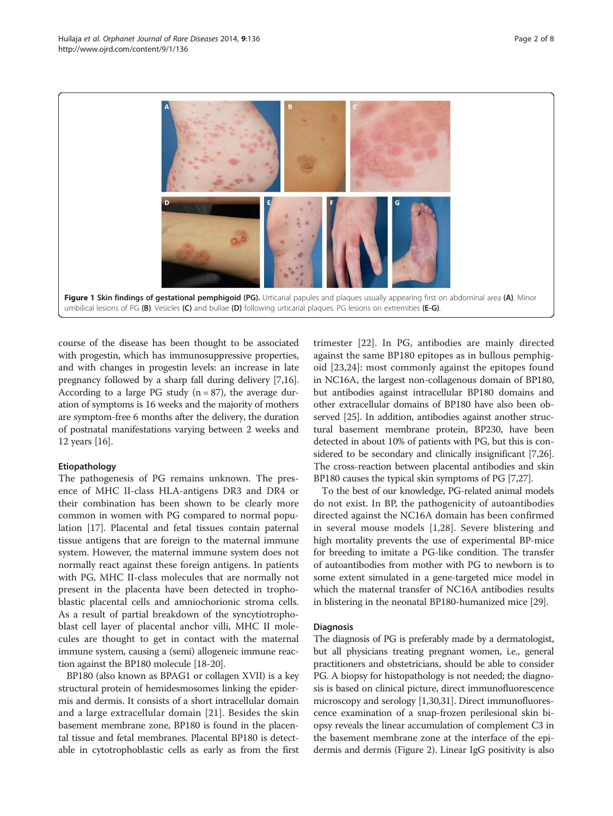<span id="page-1-0"></span>

course of the disease has been thought to be associated with progestin, which has immunosuppressive properties, and with changes in progestin levels: an increase in late pregnancy followed by a sharp fall during delivery [[7,16](#page-6-0)]. According to a large PG study  $(n = 87)$ , the average duration of symptoms is 16 weeks and the majority of mothers are symptom-free 6 months after the delivery, the duration of postnatal manifestations varying between 2 weeks and 12 years [[16\]](#page-6-0).

# Etiopathology

The pathogenesis of PG remains unknown. The presence of MHC II-class HLA-antigens DR3 and DR4 or their combination has been shown to be clearly more common in women with PG compared to normal population [[17\]](#page-6-0). Placental and fetal tissues contain paternal tissue antigens that are foreign to the maternal immune system. However, the maternal immune system does not normally react against these foreign antigens. In patients with PG, MHC II-class molecules that are normally not present in the placenta have been detected in trophoblastic placental cells and amniochorionic stroma cells. As a result of partial breakdown of the syncytiotrophoblast cell layer of placental anchor villi, MHC II molecules are thought to get in contact with the maternal immune system, causing a (semi) allogeneic immune reaction against the BP180 molecule [\[18-20](#page-6-0)].

BP180 (also known as BPAG1 or collagen XVII) is a key structural protein of hemidesmosomes linking the epidermis and dermis. It consists of a short intracellular domain and a large extracellular domain [[21\]](#page-6-0). Besides the skin basement membrane zone, BP180 is found in the placental tissue and fetal membranes. Placental BP180 is detectable in cytotrophoblastic cells as early as from the first

trimester [[22\]](#page-6-0). In PG, antibodies are mainly directed against the same BP180 epitopes as in bullous pemphigoid [[23,24\]](#page-6-0): most commonly against the epitopes found in NC16A, the largest non-collagenous domain of BP180, but antibodies against intracellular BP180 domains and other extracellular domains of BP180 have also been observed [\[25\]](#page-6-0). In addition, antibodies against another structural basement membrane protein, BP230, have been detected in about 10% of patients with PG, but this is considered to be secondary and clinically insignificant [[7,26](#page-6-0)]. The cross-reaction between placental antibodies and skin BP180 causes the typical skin symptoms of PG [[7,27](#page-6-0)].

To the best of our knowledge, PG-related animal models do not exist. In BP, the pathogenicity of autoantibodies directed against the NC16A domain has been confirmed in several mouse models [[1,28\]](#page-6-0). Severe blistering and high mortality prevents the use of experimental BP-mice for breeding to imitate a PG-like condition. The transfer of autoantibodies from mother with PG to newborn is to some extent simulated in a gene-targeted mice model in which the maternal transfer of NC16A antibodies results in blistering in the neonatal BP180-humanized mice [\[29\]](#page-6-0).

# Diagnosis

The diagnosis of PG is preferably made by a dermatologist, but all physicians treating pregnant women, i.e., general practitioners and obstetricians, should be able to consider PG. A biopsy for histopathology is not needed; the diagnosis is based on clinical picture, direct immunofluorescence microscopy and serology [[1,30,31](#page-6-0)]. Direct immunofluorescence examination of a snap-frozen perilesional skin biopsy reveals the linear accumulation of complement C3 in the basement membrane zone at the interface of the epidermis and dermis (Figure [2\)](#page-2-0). Linear IgG positivity is also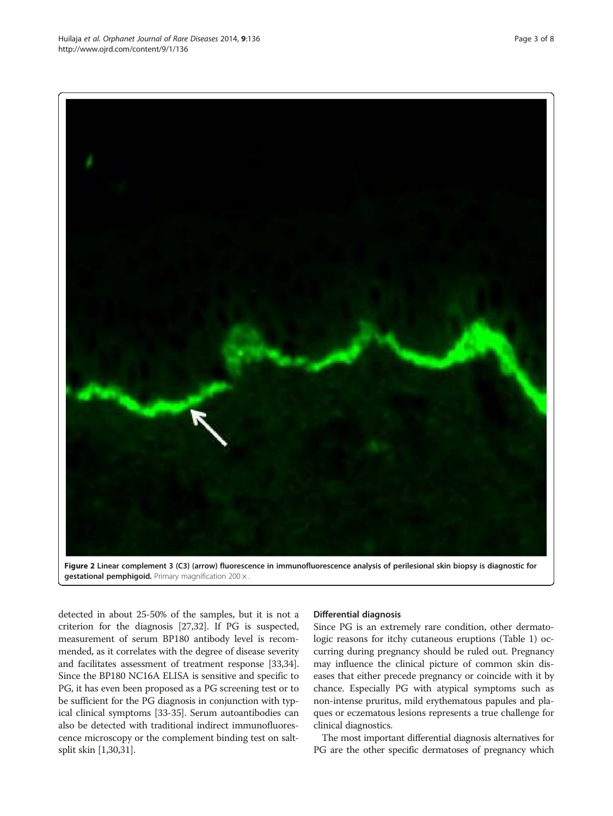<span id="page-2-0"></span>

Figure 2 Linear complement 3 (C3) (arrow) fluorescence in immunofluorescence analysis of perilesional skin biopsy is diagnostic for gestational pemphigoid. Primary magnification 200 x

detected in about 25-50% of the samples, but it is not a criterion for the diagnosis [\[27,32\]](#page-6-0). If PG is suspected, measurement of serum BP180 antibody level is recommended, as it correlates with the degree of disease severity and facilitates assessment of treatment response [\[33,34](#page-6-0)]. Since the BP180 NC16A ELISA is sensitive and specific to PG, it has even been proposed as a PG screening test or to be sufficient for the PG diagnosis in conjunction with typical clinical symptoms [\[33-35](#page-6-0)]. Serum autoantibodies can also be detected with traditional indirect immunofluorescence microscopy or the complement binding test on saltsplit skin [\[1,30,31\]](#page-6-0).

# Differential diagnosis

Since PG is an extremely rare condition, other dermatologic reasons for itchy cutaneous eruptions (Table [1\)](#page-3-0) occurring during pregnancy should be ruled out. Pregnancy may influence the clinical picture of common skin diseases that either precede pregnancy or coincide with it by chance. Especially PG with atypical symptoms such as non-intense pruritus, mild erythematous papules and plaques or eczematous lesions represents a true challenge for clinical diagnostics.

The most important differential diagnosis alternatives for PG are the other specific dermatoses of pregnancy which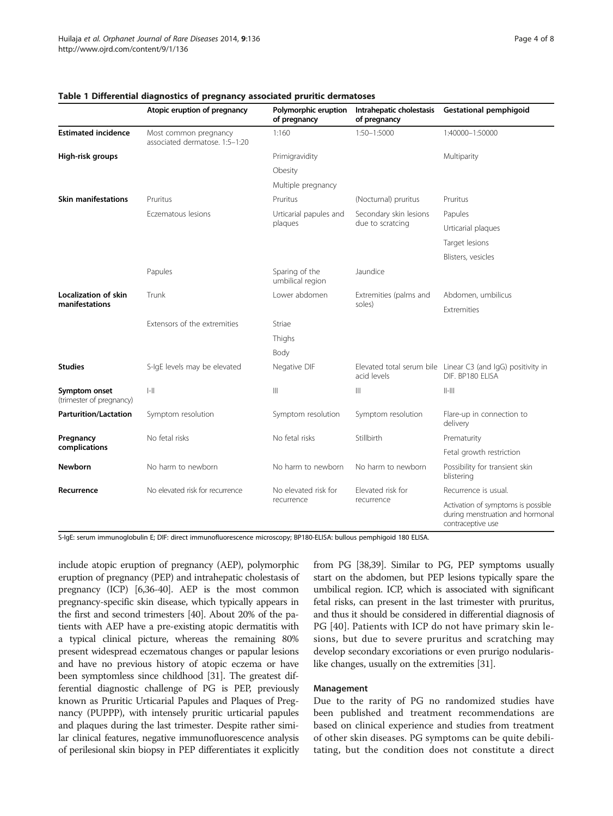|                                               | Atopic eruption of pregnancy                            | Polymorphic eruption<br>of pregnancy | Intrahepatic cholestasis<br>of pregnancy   | <b>Gestational pemphigoid</b>                                                               |
|-----------------------------------------------|---------------------------------------------------------|--------------------------------------|--------------------------------------------|---------------------------------------------------------------------------------------------|
| <b>Estimated incidence</b>                    | Most common pregnancy<br>associated dermatose. 1:5-1:20 | 1:160                                | 1:50-1:5000                                | 1:40000-1:50000                                                                             |
| High-risk groups                              |                                                         | Primigravidity                       |                                            | Multiparity                                                                                 |
|                                               |                                                         | Obesity                              |                                            |                                                                                             |
|                                               |                                                         | Multiple pregnancy                   |                                            |                                                                                             |
| <b>Skin manifestations</b>                    | Pruritus                                                | Pruritus                             | (Nocturnal) pruritus                       | Pruritus                                                                                    |
|                                               | Eczematous lesions                                      | Urticarial papules and<br>plaques    | Secondary skin lesions<br>due to scratcing | Papules                                                                                     |
|                                               |                                                         |                                      |                                            | Urticarial plaques                                                                          |
|                                               |                                                         |                                      |                                            | Target lesions                                                                              |
|                                               |                                                         |                                      |                                            | Blisters, vesicles                                                                          |
|                                               | Papules                                                 | Sparing of the<br>umbilical region   | Jaundice                                   |                                                                                             |
| <b>Localization of skin</b><br>manifestations | Trunk                                                   | Lower abdomen                        | Extremities (palms and<br>soles)           | Abdomen, umbilicus                                                                          |
|                                               |                                                         |                                      |                                            | Extremities                                                                                 |
|                                               | Extensors of the extremities                            | Striae                               |                                            |                                                                                             |
|                                               |                                                         | Thighs                               |                                            |                                                                                             |
|                                               |                                                         | Body                                 |                                            |                                                                                             |
| <b>Studies</b>                                | S-IgE levels may be elevated                            | Negative DIF                         | acid levels                                | Elevated total serum bile Linear C3 (and IgG) positivity in<br>DIF. BP180 ELISA             |
| Symptom onset<br>(trimester of pregnancy)     | $ -  $                                                  | $\mathbb{H}$                         | $\mathbb{H}$                               | $  -   $                                                                                    |
| <b>Parturition/Lactation</b>                  | Symptom resolution                                      | Symptom resolution                   | Symptom resolution                         | Flare-up in connection to<br>delivery                                                       |
| Pregnancy<br>complications                    | No fetal risks                                          | No fetal risks                       | Stillbirth                                 | Prematurity                                                                                 |
|                                               |                                                         |                                      |                                            | Fetal growth restriction                                                                    |
| <b>Newborn</b>                                | No harm to newborn                                      | No harm to newborn                   | No harm to newborn                         | Possibility for transient skin<br>blistering                                                |
| Recurrence                                    | No elevated risk for recurrence                         | No elevated risk for<br>recurrence   | Elevated risk for<br>recurrence            | Recurrence is usual.                                                                        |
|                                               |                                                         |                                      |                                            | Activation of symptoms is possible<br>during menstruation and hormonal<br>contraceptive use |

# <span id="page-3-0"></span>Table 1 Differential diagnostics of pregnancy associated pruritic dermatoses

S-IgE: serum immunoglobulin E; DIF: direct immunofluorescence microscopy; BP180-ELISA: bullous pemphigoid 180 ELISA.

include atopic eruption of pregnancy (AEP), polymorphic eruption of pregnancy (PEP) and intrahepatic cholestasis of pregnancy (ICP) [\[6,36](#page-6-0)-[40](#page-7-0)]. AEP is the most common pregnancy-specific skin disease, which typically appears in the first and second trimesters [\[40\]](#page-7-0). About 20% of the patients with AEP have a pre-existing atopic dermatitis with a typical clinical picture, whereas the remaining 80% present widespread eczematous changes or papular lesions and have no previous history of atopic eczema or have been symptomless since childhood [\[31\]](#page-6-0). The greatest differential diagnostic challenge of PG is PEP, previously known as Pruritic Urticarial Papules and Plaques of Pregnancy (PUPPP), with intensely pruritic urticarial papules and plaques during the last trimester. Despite rather similar clinical features, negative immunofluorescence analysis of perilesional skin biopsy in PEP differentiates it explicitly

from PG [\[38,39](#page-7-0)]. Similar to PG, PEP symptoms usually start on the abdomen, but PEP lesions typically spare the umbilical region. ICP, which is associated with significant fetal risks, can present in the last trimester with pruritus, and thus it should be considered in differential diagnosis of PG [[40](#page-7-0)]. Patients with ICP do not have primary skin lesions, but due to severe pruritus and scratching may develop secondary excoriations or even prurigo nodularislike changes, usually on the extremities [[31](#page-6-0)].

# Management

Due to the rarity of PG no randomized studies have been published and treatment recommendations are based on clinical experience and studies from treatment of other skin diseases. PG symptoms can be quite debilitating, but the condition does not constitute a direct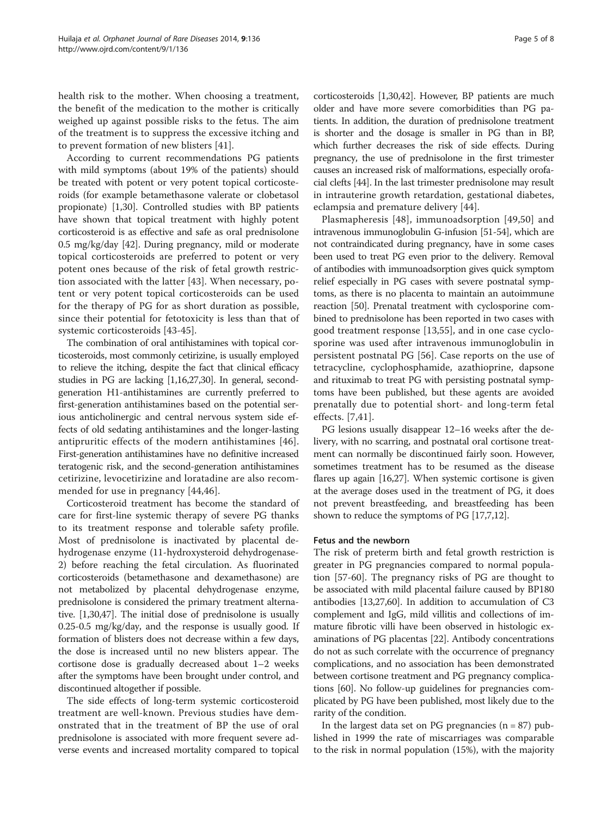health risk to the mother. When choosing a treatment, the benefit of the medication to the mother is critically weighed up against possible risks to the fetus. The aim of the treatment is to suppress the excessive itching and to prevent formation of new blisters [[41](#page-7-0)].

According to current recommendations PG patients with mild symptoms (about 19% of the patients) should be treated with potent or very potent topical corticosteroids (for example betamethasone valerate or clobetasol propionate) [[1,30\]](#page-6-0). Controlled studies with BP patients have shown that topical treatment with highly potent corticosteroid is as effective and safe as oral prednisolone 0.5 mg/kg/day [\[42](#page-7-0)]. During pregnancy, mild or moderate topical corticosteroids are preferred to potent or very potent ones because of the risk of fetal growth restriction associated with the latter [[43\]](#page-7-0). When necessary, potent or very potent topical corticosteroids can be used for the therapy of PG for as short duration as possible, since their potential for fetotoxicity is less than that of systemic corticosteroids [\[43](#page-7-0)-[45\]](#page-7-0).

The combination of oral antihistamines with topical corticosteroids, most commonly cetirizine, is usually employed to relieve the itching, despite the fact that clinical efficacy studies in PG are lacking [\[1,16,27,30\]](#page-6-0). In general, secondgeneration H1-antihistamines are currently preferred to first-generation antihistamines based on the potential serious anticholinergic and central nervous system side effects of old sedating antihistamines and the longer-lasting antipruritic effects of the modern antihistamines [[46](#page-7-0)]. First-generation antihistamines have no definitive increased teratogenic risk, and the second-generation antihistamines cetirizine, levocetirizine and loratadine are also recommended for use in pregnancy [[44,46](#page-7-0)].

Corticosteroid treatment has become the standard of care for first-line systemic therapy of severe PG thanks to its treatment response and tolerable safety profile. Most of prednisolone is inactivated by placental dehydrogenase enzyme (11-hydroxysteroid dehydrogenase-2) before reaching the fetal circulation. As fluorinated corticosteroids (betamethasone and dexamethasone) are not metabolized by placental dehydrogenase enzyme, prednisolone is considered the primary treatment alternative. [\[1,30](#page-6-0),[47](#page-7-0)]. The initial dose of prednisolone is usually 0.25-0.5 mg/kg/day, and the response is usually good. If formation of blisters does not decrease within a few days, the dose is increased until no new blisters appear. The cortisone dose is gradually decreased about 1–2 weeks after the symptoms have been brought under control, and discontinued altogether if possible.

The side effects of long-term systemic corticosteroid treatment are well-known. Previous studies have demonstrated that in the treatment of BP the use of oral prednisolone is associated with more frequent severe adverse events and increased mortality compared to topical

corticosteroids [\[1,30](#page-6-0)[,42\]](#page-7-0). However, BP patients are much older and have more severe comorbidities than PG patients. In addition, the duration of prednisolone treatment is shorter and the dosage is smaller in PG than in BP, which further decreases the risk of side effects. During pregnancy, the use of prednisolone in the first trimester causes an increased risk of malformations, especially orofacial clefts [[44](#page-7-0)]. In the last trimester prednisolone may result in intrauterine growth retardation, gestational diabetes, eclampsia and premature delivery [[44\]](#page-7-0).

Plasmapheresis [[48\]](#page-7-0), immunoadsorption [[49](#page-7-0),[50\]](#page-7-0) and intravenous immunoglobulin G-infusion [[51](#page-7-0)-[54](#page-7-0)], which are not contraindicated during pregnancy, have in some cases been used to treat PG even prior to the delivery. Removal of antibodies with immunoadsorption gives quick symptom relief especially in PG cases with severe postnatal symptoms, as there is no placenta to maintain an autoimmune reaction [\[50\]](#page-7-0). Prenatal treatment with cyclosporine combined to prednisolone has been reported in two cases with good treatment response [[13,](#page-6-0)[55\]](#page-7-0), and in one case cyclosporine was used after intravenous immunoglobulin in persistent postnatal PG [[56\]](#page-7-0). Case reports on the use of tetracycline, cyclophosphamide, azathioprine, dapsone and rituximab to treat PG with persisting postnatal symptoms have been published, but these agents are avoided prenatally due to potential short- and long-term fetal effects. [\[7,](#page-6-0)[41](#page-7-0)].

PG lesions usually disappear 12–16 weeks after the delivery, with no scarring, and postnatal oral cortisone treatment can normally be discontinued fairly soon. However, sometimes treatment has to be resumed as the disease flares up again [\[16,27](#page-6-0)]. When systemic cortisone is given at the average doses used in the treatment of PG, it does not prevent breastfeeding, and breastfeeding has been shown to reduce the symptoms of PG [\[17,7,12\]](#page-6-0).

#### Fetus and the newborn

The risk of preterm birth and fetal growth restriction is greater in PG pregnancies compared to normal population [\[57-60](#page-7-0)]. The pregnancy risks of PG are thought to be associated with mild placental failure caused by BP180 antibodies [[13,27](#page-6-0)[,60\]](#page-7-0). In addition to accumulation of C3 complement and IgG, mild villitis and collections of immature fibrotic villi have been observed in histologic examinations of PG placentas [\[22](#page-6-0)]. Antibody concentrations do not as such correlate with the occurrence of pregnancy complications, and no association has been demonstrated between cortisone treatment and PG pregnancy complications [\[60\]](#page-7-0). No follow-up guidelines for pregnancies complicated by PG have been published, most likely due to the rarity of the condition.

In the largest data set on PG pregnancies  $(n = 87)$  published in 1999 the rate of miscarriages was comparable to the risk in normal population (15%), with the majority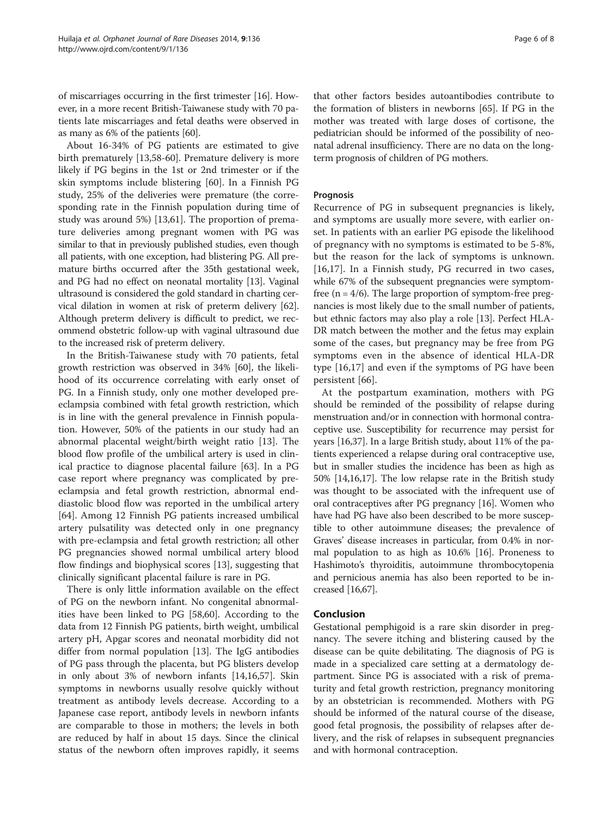of miscarriages occurring in the first trimester [[16](#page-6-0)]. However, in a more recent British-Taiwanese study with 70 patients late miscarriages and fetal deaths were observed in as many as 6% of the patients [\[60\]](#page-7-0).

About 16-34% of PG patients are estimated to give birth prematurely [\[13](#page-6-0)[,58](#page-7-0)-[60\]](#page-7-0). Premature delivery is more likely if PG begins in the 1st or 2nd trimester or if the skin symptoms include blistering [[60\]](#page-7-0). In a Finnish PG study, 25% of the deliveries were premature (the corresponding rate in the Finnish population during time of study was around 5%) [\[13](#page-6-0)[,61](#page-7-0)]. The proportion of premature deliveries among pregnant women with PG was similar to that in previously published studies, even though all patients, with one exception, had blistering PG. All premature births occurred after the 35th gestational week, and PG had no effect on neonatal mortality [[13](#page-6-0)]. Vaginal ultrasound is considered the gold standard in charting cervical dilation in women at risk of preterm delivery [[62](#page-7-0)]. Although preterm delivery is difficult to predict, we recommend obstetric follow-up with vaginal ultrasound due to the increased risk of preterm delivery.

In the British-Taiwanese study with 70 patients, fetal growth restriction was observed in 34% [\[60](#page-7-0)], the likelihood of its occurrence correlating with early onset of PG. In a Finnish study, only one mother developed preeclampsia combined with fetal growth restriction, which is in line with the general prevalence in Finnish population. However, 50% of the patients in our study had an abnormal placental weight/birth weight ratio [[13](#page-6-0)]. The blood flow profile of the umbilical artery is used in clinical practice to diagnose placental failure [\[63\]](#page-7-0). In a PG case report where pregnancy was complicated by preeclampsia and fetal growth restriction, abnormal enddiastolic blood flow was reported in the umbilical artery [[64\]](#page-7-0). Among 12 Finnish PG patients increased umbilical artery pulsatility was detected only in one pregnancy with pre-eclampsia and fetal growth restriction; all other PG pregnancies showed normal umbilical artery blood flow findings and biophysical scores [[13](#page-6-0)], suggesting that clinically significant placental failure is rare in PG.

There is only little information available on the effect of PG on the newborn infant. No congenital abnormalities have been linked to PG [[58,60\]](#page-7-0). According to the data from 12 Finnish PG patients, birth weight, umbilical artery pH, Apgar scores and neonatal morbidity did not differ from normal population [\[13](#page-6-0)]. The IgG antibodies of PG pass through the placenta, but PG blisters develop in only about 3% of newborn infants [\[14,16](#page-6-0)[,57](#page-7-0)]. Skin symptoms in newborns usually resolve quickly without treatment as antibody levels decrease. According to a Japanese case report, antibody levels in newborn infants are comparable to those in mothers; the levels in both are reduced by half in about 15 days. Since the clinical status of the newborn often improves rapidly, it seems

that other factors besides autoantibodies contribute to the formation of blisters in newborns [[65\]](#page-7-0). If PG in the mother was treated with large doses of cortisone, the pediatrician should be informed of the possibility of neonatal adrenal insufficiency. There are no data on the longterm prognosis of children of PG mothers.

# Prognosis

Recurrence of PG in subsequent pregnancies is likely, and symptoms are usually more severe, with earlier onset. In patients with an earlier PG episode the likelihood of pregnancy with no symptoms is estimated to be 5-8%, but the reason for the lack of symptoms is unknown. [[16,17](#page-6-0)]. In a Finnish study, PG recurred in two cases, while 67% of the subsequent pregnancies were symptomfree  $(n = 4/6)$ . The large proportion of symptom-free pregnancies is most likely due to the small number of patients, but ethnic factors may also play a role [[13\]](#page-6-0). Perfect HLA-DR match between the mother and the fetus may explain some of the cases, but pregnancy may be free from PG symptoms even in the absence of identical HLA-DR type [[16,17\]](#page-6-0) and even if the symptoms of PG have been persistent [\[66](#page-7-0)].

At the postpartum examination, mothers with PG should be reminded of the possibility of relapse during menstruation and/or in connection with hormonal contraceptive use. Susceptibility for recurrence may persist for years [[16,37](#page-6-0)]. In a large British study, about 11% of the patients experienced a relapse during oral contraceptive use, but in smaller studies the incidence has been as high as 50% [\[14,16,17](#page-6-0)]. The low relapse rate in the British study was thought to be associated with the infrequent use of oral contraceptives after PG pregnancy [[16\]](#page-6-0). Women who have had PG have also been described to be more susceptible to other autoimmune diseases; the prevalence of Graves' disease increases in particular, from 0.4% in normal population to as high as 10.6% [\[16\]](#page-6-0). Proneness to Hashimoto's thyroiditis, autoimmune thrombocytopenia and pernicious anemia has also been reported to be increased [\[16,](#page-6-0)[67\]](#page-7-0).

# Conclusion

Gestational pemphigoid is a rare skin disorder in pregnancy. The severe itching and blistering caused by the disease can be quite debilitating. The diagnosis of PG is made in a specialized care setting at a dermatology department. Since PG is associated with a risk of prematurity and fetal growth restriction, pregnancy monitoring by an obstetrician is recommended. Mothers with PG should be informed of the natural course of the disease, good fetal prognosis, the possibility of relapses after delivery, and the risk of relapses in subsequent pregnancies and with hormonal contraception.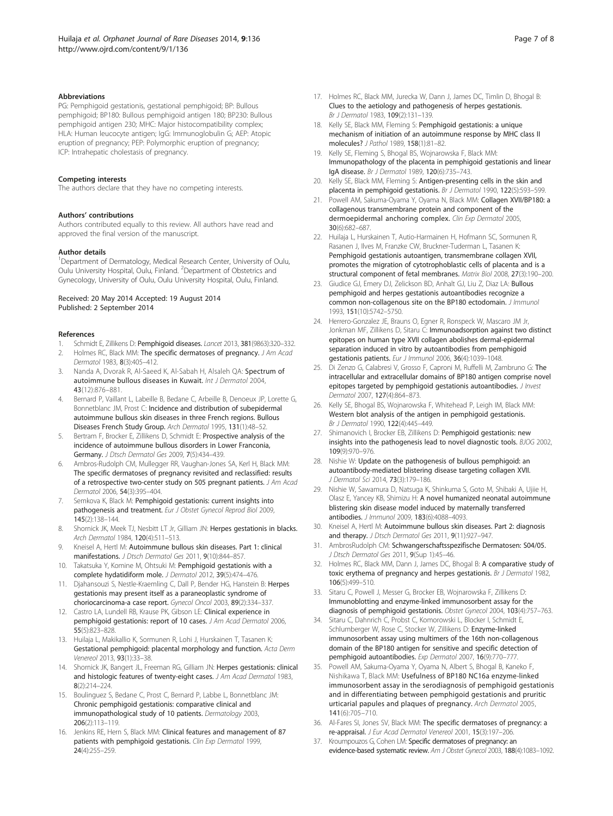#### <span id="page-6-0"></span>Abbreviations

PG: Pemphigoid gestationis, gestational pemphigoid; BP: Bullous pemphigoid; BP180: Bullous pemphigoid antigen 180; BP230: Bullous pemphigoid antigen 230; MHC: Major histocompatibility complex; HLA: Human leucocyte antigen; IgG: Immunoglobulin G; AEP: Atopic eruption of pregnancy; PEP: Polymorphic eruption of pregnancy; ICP: Intrahepatic cholestasis of pregnancy.

#### Competing interests

The authors declare that they have no competing interests.

#### Authors' contributions

Authors contributed equally to this review. All authors have read and approved the final version of the manuscript.

#### Author details

<sup>1</sup>Department of Dermatology, Medical Research Center, University of Oulu, Oulu University Hospital, Oulu, Finland. <sup>2</sup>Department of Obstetrics and Gynecology, University of Oulu, Oulu University Hospital, Oulu, Finland.

#### Received: 20 May 2014 Accepted: 19 August 2014 Published: 2 September 2014

#### References

- 1. Schmidt E, Zillikens D: Pemphigoid diseases. Lancet 2013, 381(9863):320-332.
- 2. Holmes RC, Black MM: The specific dermatoses of pregnancy. J Am Acad Dermatol 1983, 8(3):405–412.
- 3. Nanda A, Dvorak R, Al-Saeed K, Al-Sabah H, Alsaleh QA: Spectrum of autoimmune bullous diseases in Kuwait. Int J Dermatol 2004, 43(12):876–881.
- 4. Bernard P, Vaillant L, Labeille B, Bedane C, Arbeille B, Denoeux JP, Lorette G, Bonnetblanc JM, Prost C: Incidence and distribution of subepidermal autoimmune bullous skin diseases in three French regions. Bullous Diseases French Study Group. Arch Dermatol 1995, 131(1):48–52.
- 5. Bertram F, Brocker E, Zillikens D, Schmidt E: Prospective analysis of the incidence of autoimmune bullous disorders in Lower Franconia, Germany. J Dtsch Dermatol Ges 2009, 7(5):434–439.
- Ambros-Rudolph CM, Mullegger RR, Vaughan-Jones SA, Kerl H, Black MM: The specific dermatoses of pregnancy revisited and reclassified: results of a retrospective two-center study on 505 pregnant patients. J Am Acad Dermatol 2006, 54(3):395–404.
- 7. Semkova K, Black M: Pemphigoid gestationis: current insights into pathogenesis and treatment. Eur J Obstet Gynecol Reprod Biol 2009, 145(2):138–144.
- 8. Shornick JK, Meek TJ, Nesbitt LT Jr, Gilliam JN: Herpes gestationis in blacks. Arch Dermatol 1984, 120(4):511–513.
- Kneisel A, Hertl M: Autoimmune bullous skin diseases. Part 1: clinical manifestations. J Dtsch Dermatol Ges 2011, 9(10):844–857.
- 10. Takatsuka Y, Komine M, Ohtsuki M: Pemphigoid gestationis with a complete hydatidiform mole. J Dermatol 2012, 39(5):474–476.
- 11. Djahansouzi S, Nestle-Kraemling C, Dall P, Bender HG, Hanstein B: Herpes gestationis may present itself as a paraneoplastic syndrome of choriocarcinoma-a case report. Gynecol Oncol 2003, 89(2):334–337.
- 12. Castro LA, Lundell RB, Krause PK, Gibson LE: Clinical experience in pemphigoid gestationis: report of 10 cases. J Am Acad Dermatol 2006, 55(5):823–828.
- 13. Huilaja L, Makikallio K, Sormunen R, Lohi J, Hurskainen T, Tasanen K: Gestational pemphigoid: placental morphology and function. Acta Derm Venereol 2013, 93(1):33–38.
- 14. Shornick JK, Bangert JL, Freeman RG, Gilliam JN: Herpes gestationis: clinical and histologic features of twenty-eight cases. J Am Acad Dermatol 1983, 8(2):214–224.
- 15. Boulinguez S, Bedane C, Prost C, Bernard P, Labbe L, Bonnetblanc JM: Chronic pemphigoid gestationis: comparative clinical and immunopathological study of 10 patients. Dermatology 2003, 206(2):113–119.
- 16. Jenkins RE, Hern S, Black MM: Clinical features and management of 87 patients with pemphigoid gestationis. Clin Exp Dermatol 1999, 24(4):255–259.
- 17. Holmes RC, Black MM, Jurecka W, Dann J, James DC, Timlin D, Bhogal B: Clues to the aetiology and pathogenesis of herpes gestationis. Br J Dermatol 1983, 109(2):131–139.
- 18. Kelly SE, Black MM, Fleming S: Pemphigoid gestationis: a unique mechanism of initiation of an autoimmune response by MHC class II molecules? J Pathol 1989, 158(1):81–82.
- 19. Kelly SE, Fleming S, Bhogal BS, Wojnarowska F, Black MM: Immunopathology of the placenta in pemphigoid gestationis and linear IgA disease. Br J Dermatol 1989, 120(6):735–743.
- 20. Kelly SE, Black MM, Fleming S: Antigen-presenting cells in the skin and placenta in pemphigoid gestationis. Br J Dermatol 1990, 122(5):593–599.
- 21. Powell AM, Sakuma-Oyama Y, Oyama N, Black MM: Collagen XVII/BP180: a collagenous transmembrane protein and component of the dermoepidermal anchoring complex. Clin Exp Dermatol 2005, 30(6):682–687.
- 22. Huilaja L, Hurskainen T, Autio-Harmainen H, Hofmann SC, Sormunen R, Rasanen J, Ilves M, Franzke CW, Bruckner-Tuderman L, Tasanen K: Pemphigoid gestationis autoantigen, transmembrane collagen XVII, promotes the migration of cytotrophoblastic cells of placenta and is a structural component of fetal membranes. Matrix Biol 2008, 27(3):190–200.
- 23. Giudice GJ, Emery DJ, Zelickson BD, Anhalt GJ, Liu Z, Diaz LA: Bullous pemphigoid and herpes gestationis autoantibodies recognize a common non-collagenous site on the BP180 ectodomain. J Immunol 1993, 151(10):5742–5750.
- 24. Herrero-Gonzalez JE, Brauns O, Egner R, Ronspeck W, Mascaro JM Jr, Jonkman MF, Zillikens D, Sitaru C: Immunoadsorption against two distinct epitopes on human type XVII collagen abolishes dermal-epidermal separation induced in vitro by autoantibodies from pemphigoid gestationis patients. Eur J Immunol 2006, 36(4):1039–1048.
- 25. Di Zenzo G, Calabresi V, Grosso F, Caproni M, Ruffelli M, Zambruno G: The intracellular and extracellular domains of BP180 antigen comprise novel epitopes targeted by pemphigoid gestationis autoantibodies. *J Invest* Dermatol 2007, 127(4):864–873.
- 26. Kelly SE, Bhogal BS, Wojnarowska F, Whitehead P, Leigh IM, Black MM: Western blot analysis of the antigen in pemphigoid gestationis. Br J Dermatol 1990, 122(4):445–449.
- 27. Shimanovich I, Brocker EB, Zillikens D: Pemphigoid gestationis: new insights into the pathogenesis lead to novel diagnostic tools. BJOG 2002, 109(9):970–976.
- 28. Nishie W: Update on the pathogenesis of bullous pemphigoid: an autoantibody-mediated blistering disease targeting collagen XVII. J Dermatol Sci 2014, 73(3):179–186.
- 29. Nishie W, Sawamura D, Natsuga K, Shinkuma S, Goto M, Shibaki A, Ujiie H, Olasz E, Yancey KB, Shimizu H: A novel humanized neonatal autoimmune blistering skin disease model induced by maternally transferred antibodies. J Immunol 2009, 183(6):4088–4093.
- 30. Kneisel A, Hertl M: Autoimmune bullous skin diseases. Part 2: diagnosis and therapy. J Dtsch Dermatol Ges 2011, 9(11):927-947.
- 31. AmbrosRudolph CM: Schwangerschaftsspezifische Dermatosen: S04/05. J Dtsch Dermatol Ges 2011, 9(Sup 1):45–46.
- 32. Holmes RC, Black MM, Dann J, James DC, Bhogal B: A comparative study of toxic erythema of pregnancy and herpes gestationis. Br J Dermatol 1982, 106(5):499–510.
- 33. Sitaru C, Powell J, Messer G, Brocker EB, Wojnarowska F, Zillikens D: Immunoblotting and enzyme-linked immunosorbent assay for the diagnosis of pemphigoid gestationis. Obstet Gynecol 2004, 103(4):757–763.
- Sitaru C, Dahnrich C, Probst C, Komorowski L, Blocker I, Schmidt E, Schlumberger W, Rose C, Stocker W, Zillikens D: Enzyme-linked immunosorbent assay using multimers of the 16th non-collagenous domain of the BP180 antigen for sensitive and specific detection of pemphigoid autoantibodies. Exp Dermatol 2007, 16(9):770–777.
- 35. Powell AM, Sakuma-Oyama Y, Oyama N, Albert S, Bhogal B, Kaneko F, Nishikawa T, Black MM: Usefulness of BP180 NC16a enzyme-linked immunosorbent assay in the serodiagnosis of pemphigoid gestationis and in differentiating between pemphigoid gestationis and pruritic urticarial papules and plaques of pregnancy. Arch Dermatol 2005, 141(6):705–710.
- 36. Al-Fares SI, Jones SV, Black MM: The specific dermatoses of pregnancy: a re-appraisal. J Eur Acad Dermatol Venereol 2001, 15(3):197–206.
- 37. Kroumpouzos G, Cohen LM: Specific dermatoses of pregnancy: an evidence-based systematic review. Am J Obstet Gynecol 2003, 188(4):1083–1092.